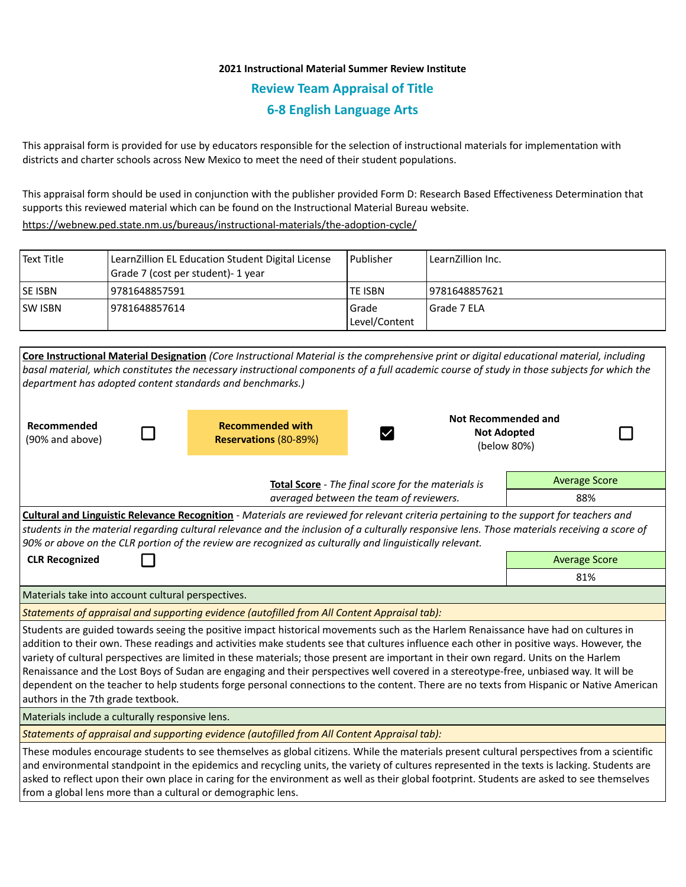# **2021 Instructional Material Summer Review Institute Review Team Appraisal of Title 6-8 English Language Arts**

This appraisal form is provided for use by educators responsible for the selection of instructional materials for implementation with districts and charter schools across New Mexico to meet the need of their student populations.

This appraisal form should be used in conjunction with the publisher provided Form D: Research Based Effectiveness Determination that supports this reviewed material which can be found on the Instructional Material Bureau website.

<https://webnew.ped.state.nm.us/bureaus/instructional-materials/the-adoption-cycle/>

| Text Title      | LearnZillion EL Education Student Digital License<br>Grade 7 (cost per student)- 1 year | Publisher                | LearnZillion Inc. |
|-----------------|-----------------------------------------------------------------------------------------|--------------------------|-------------------|
| <b>ISE ISBN</b> | 9781648857591                                                                           | ITE ISBN                 | 19781648857621    |
| <b>ISW ISBN</b> | 9781648857614                                                                           | l Grade<br>Level/Content | Grade 7 ELA       |

|                                                                                                                                                                                | Core Instructional Material Designation (Core Instructional Material is the comprehensive print or digital educational material, including  |                                   |                      |  |  |  |
|--------------------------------------------------------------------------------------------------------------------------------------------------------------------------------|---------------------------------------------------------------------------------------------------------------------------------------------|-----------------------------------|----------------------|--|--|--|
|                                                                                                                                                                                | basal material, which constitutes the necessary instructional components of a full academic course of study in those subjects for which the |                                   |                      |  |  |  |
| department has adopted content standards and benchmarks.)                                                                                                                      |                                                                                                                                             |                                   |                      |  |  |  |
|                                                                                                                                                                                |                                                                                                                                             |                                   |                      |  |  |  |
| Recommended                                                                                                                                                                    | <b>Recommended with</b>                                                                                                                     | <b>Not Recommended and</b>        |                      |  |  |  |
| (90% and above)                                                                                                                                                                | Reservations (80-89%)                                                                                                                       | <b>Not Adopted</b><br>(below 80%) |                      |  |  |  |
|                                                                                                                                                                                |                                                                                                                                             |                                   |                      |  |  |  |
|                                                                                                                                                                                |                                                                                                                                             |                                   |                      |  |  |  |
|                                                                                                                                                                                | Total Score - The final score for the materials is                                                                                          |                                   | <b>Average Score</b> |  |  |  |
|                                                                                                                                                                                | averaged between the team of reviewers.                                                                                                     |                                   | 88%                  |  |  |  |
| Cultural and Linguistic Relevance Recognition - Materials are reviewed for relevant criteria pertaining to the support for teachers and                                        |                                                                                                                                             |                                   |                      |  |  |  |
| students in the material regarding cultural relevance and the inclusion of a culturally responsive lens. Those materials receiving a score of                                  |                                                                                                                                             |                                   |                      |  |  |  |
| 90% or above on the CLR portion of the review are recognized as culturally and linguistically relevant.                                                                        |                                                                                                                                             |                                   |                      |  |  |  |
| <b>CLR Recognized</b>                                                                                                                                                          | <b>Average Score</b>                                                                                                                        |                                   |                      |  |  |  |
|                                                                                                                                                                                |                                                                                                                                             |                                   | 81%                  |  |  |  |
| Materials take into account cultural perspectives.                                                                                                                             |                                                                                                                                             |                                   |                      |  |  |  |
| Statements of appraisal and supporting evidence (autofilled from All Content Appraisal tab):                                                                                   |                                                                                                                                             |                                   |                      |  |  |  |
| Students are guided towards seeing the positive impact historical movements such as the Harlem Renaissance have had on cultures in                                             |                                                                                                                                             |                                   |                      |  |  |  |
| addition to their own. These readings and activities make students see that cultures influence each other in positive ways. However, the                                       |                                                                                                                                             |                                   |                      |  |  |  |
| variety of cultural perspectives are limited in these materials; those present are important in their own regard. Units on the Harlem                                          |                                                                                                                                             |                                   |                      |  |  |  |
| Renaissance and the Lost Boys of Sudan are engaging and their perspectives well covered in a stereotype-free, unbiased way. It will be                                         |                                                                                                                                             |                                   |                      |  |  |  |
| dependent on the teacher to help students forge personal connections to the content. There are no texts from Hispanic or Native American<br>authors in the 7th grade textbook. |                                                                                                                                             |                                   |                      |  |  |  |
| Materials include a culturally responsive lens.                                                                                                                                |                                                                                                                                             |                                   |                      |  |  |  |
| Statements of appraisal and supporting evidence (autofilled from All Content Appraisal tab):                                                                                   |                                                                                                                                             |                                   |                      |  |  |  |
| These modules encourage students to see themselves as global citizens. While the materials present cultural perspectives from a scientific                                     |                                                                                                                                             |                                   |                      |  |  |  |
| and environmental standpoint in the epidemics and recycling units, the variety of cultures represented in the texts is lacking. Students are                                   |                                                                                                                                             |                                   |                      |  |  |  |
| asked to reflect upon their own place in caring for the environment as well as their global footprint. Students are asked to see themselves                                    |                                                                                                                                             |                                   |                      |  |  |  |
| from a global lens more than a cultural or demographic lens.                                                                                                                   |                                                                                                                                             |                                   |                      |  |  |  |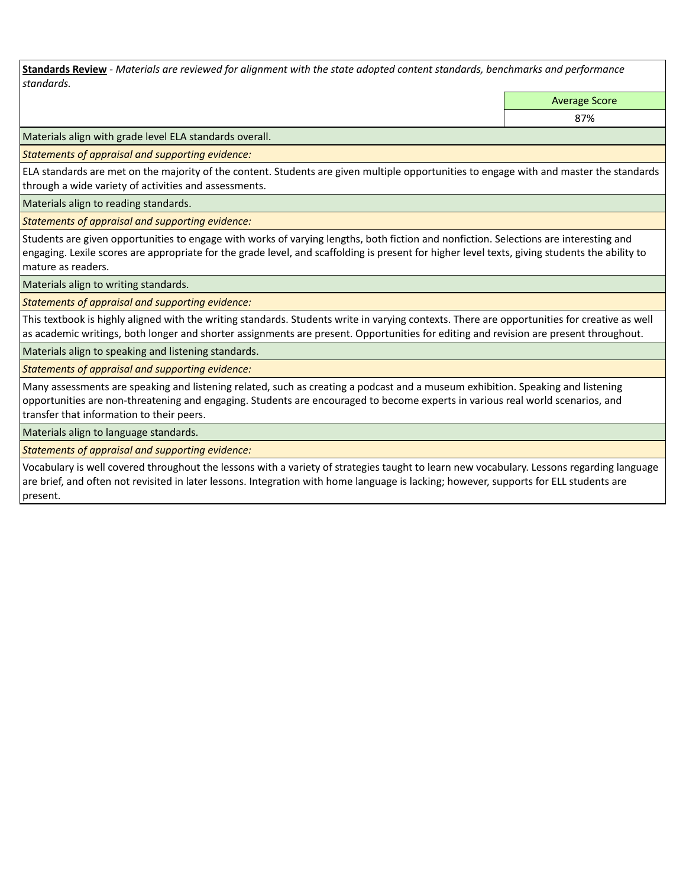**Standards Review** *- Materials are reviewed for alignment with the state adopted content standards, benchmarks and performance standards.*

Average Score

87%

Materials align with grade level ELA standards overall.

*Statements of appraisal and supporting evidence:* 

ELA standards are met on the majority of the content. Students are given multiple opportunities to engage with and master the standards through a wide variety of activities and assessments.

Materials align to reading standards.

*Statements of appraisal and supporting evidence:* 

Students are given opportunities to engage with works of varying lengths, both fiction and nonfiction. Selections are interesting and engaging. Lexile scores are appropriate for the grade level, and scaffolding is present for higher level texts, giving students the ability to mature as readers.

Materials align to writing standards.

*Statements of appraisal and supporting evidence:* 

This textbook is highly aligned with the writing standards. Students write in varying contexts. There are opportunities for creative as well as academic writings, both longer and shorter assignments are present. Opportunities for editing and revision are present throughout.

Materials align to speaking and listening standards.

*Statements of appraisal and supporting evidence:* 

Many assessments are speaking and listening related, such as creating a podcast and a museum exhibition. Speaking and listening opportunities are non-threatening and engaging. Students are encouraged to become experts in various real world scenarios, and transfer that information to their peers.

Materials align to language standards.

*Statements of appraisal and supporting evidence:* 

Vocabulary is well covered throughout the lessons with a variety of strategies taught to learn new vocabulary. Lessons regarding language are brief, and often not revisited in later lessons. Integration with home language is lacking; however, supports for ELL students are present.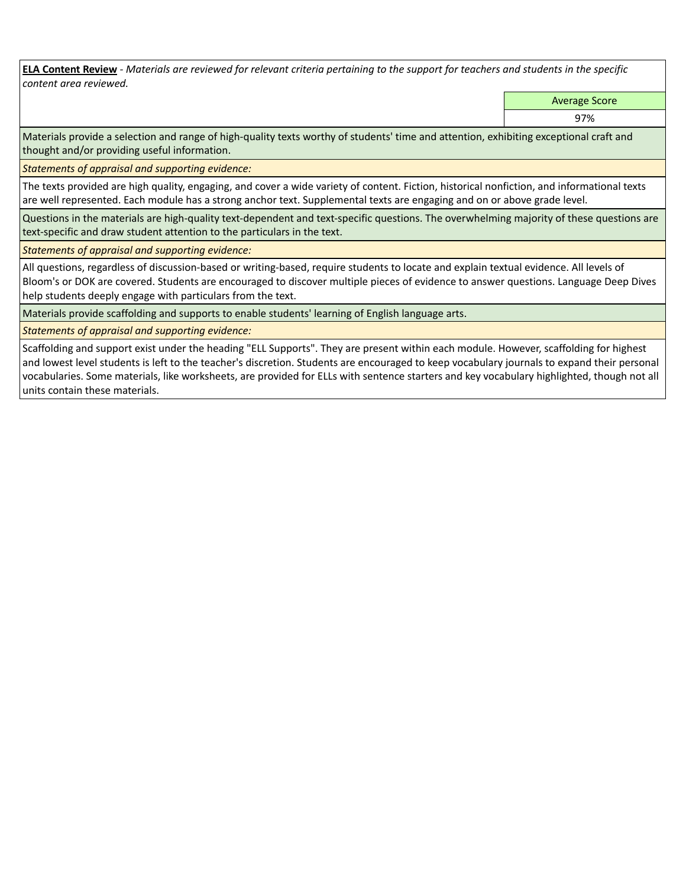**ELA Content Review** *- Materials are reviewed for relevant criteria pertaining to the support for teachers and students in the specific content area reviewed.*

Average Score

97%

Materials provide a selection and range of high-quality texts worthy of students' time and attention, exhibiting exceptional craft and thought and/or providing useful information.

*Statements of appraisal and supporting evidence:* 

The texts provided are high quality, engaging, and cover a wide variety of content. Fiction, historical nonfiction, and informational texts are well represented. Each module has a strong anchor text. Supplemental texts are engaging and on or above grade level.

Questions in the materials are high-quality text-dependent and text-specific questions. The overwhelming majority of these questions are text-specific and draw student attention to the particulars in the text.

*Statements of appraisal and supporting evidence:* 

All questions, regardless of discussion-based or writing-based, require students to locate and explain textual evidence. All levels of Bloom's or DOK are covered. Students are encouraged to discover multiple pieces of evidence to answer questions. Language Deep Dives help students deeply engage with particulars from the text.

Materials provide scaffolding and supports to enable students' learning of English language arts.

*Statements of appraisal and supporting evidence:* 

Scaffolding and support exist under the heading "ELL Supports". They are present within each module. However, scaffolding for highest and lowest level students is left to the teacher's discretion. Students are encouraged to keep vocabulary journals to expand their personal vocabularies. Some materials, like worksheets, are provided for ELLs with sentence starters and key vocabulary highlighted, though not all units contain these materials.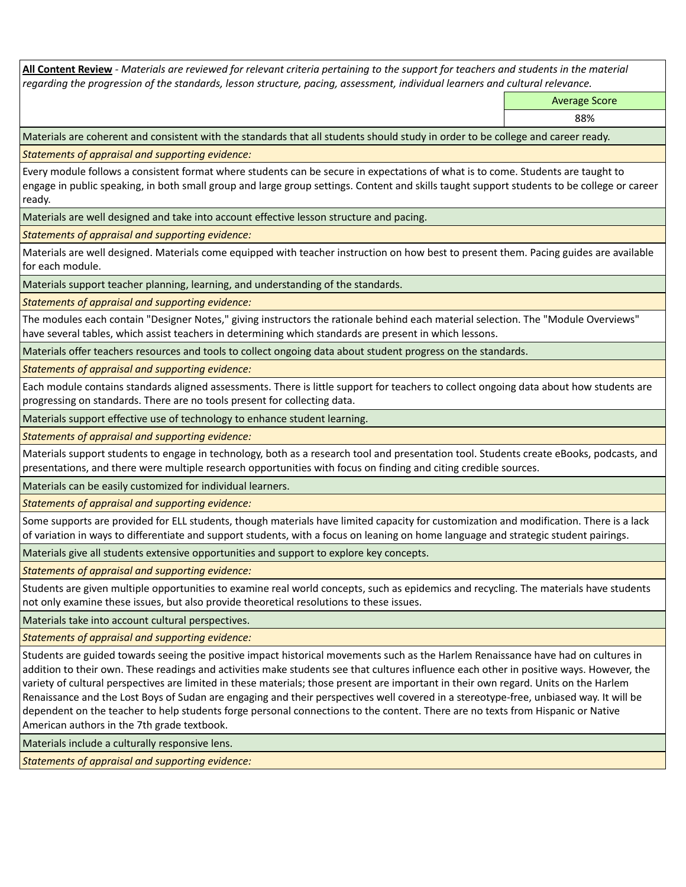**All Content Review** *- Materials are reviewed for relevant criteria pertaining to the support for teachers and students in the material regarding the progression of the standards, lesson structure, pacing, assessment, individual learners and cultural relevance.*

Average Score

88%

Materials are coherent and consistent with the standards that all students should study in order to be college and career ready.

*Statements of appraisal and supporting evidence:*

Every module follows a consistent format where students can be secure in expectations of what is to come. Students are taught to engage in public speaking, in both small group and large group settings. Content and skills taught support students to be college or career ready.

Materials are well designed and take into account effective lesson structure and pacing.

*Statements of appraisal and supporting evidence:*

Materials are well designed. Materials come equipped with teacher instruction on how best to present them. Pacing guides are available for each module.

Materials support teacher planning, learning, and understanding of the standards.

*Statements of appraisal and supporting evidence:*

The modules each contain "Designer Notes," giving instructors the rationale behind each material selection. The "Module Overviews" have several tables, which assist teachers in determining which standards are present in which lessons.

Materials offer teachers resources and tools to collect ongoing data about student progress on the standards.

*Statements of appraisal and supporting evidence:*

Each module contains standards aligned assessments. There is little support for teachers to collect ongoing data about how students are progressing on standards. There are no tools present for collecting data.

Materials support effective use of technology to enhance student learning.

*Statements of appraisal and supporting evidence:*

Materials support students to engage in technology, both as a research tool and presentation tool. Students create eBooks, podcasts, and presentations, and there were multiple research opportunities with focus on finding and citing credible sources.

Materials can be easily customized for individual learners.

*Statements of appraisal and supporting evidence:* 

Some supports are provided for ELL students, though materials have limited capacity for customization and modification. There is a lack of variation in ways to differentiate and support students, with a focus on leaning on home language and strategic student pairings.

Materials give all students extensive opportunities and support to explore key concepts.

*Statements of appraisal and supporting evidence:*

Students are given multiple opportunities to examine real world concepts, such as epidemics and recycling. The materials have students not only examine these issues, but also provide theoretical resolutions to these issues.

Materials take into account cultural perspectives.

*Statements of appraisal and supporting evidence:*

Students are guided towards seeing the positive impact historical movements such as the Harlem Renaissance have had on cultures in addition to their own. These readings and activities make students see that cultures influence each other in positive ways. However, the variety of cultural perspectives are limited in these materials; those present are important in their own regard. Units on the Harlem Renaissance and the Lost Boys of Sudan are engaging and their perspectives well covered in a stereotype-free, unbiased way. It will be dependent on the teacher to help students forge personal connections to the content. There are no texts from Hispanic or Native American authors in the 7th grade textbook.

Materials include a culturally responsive lens.

*Statements of appraisal and supporting evidence:*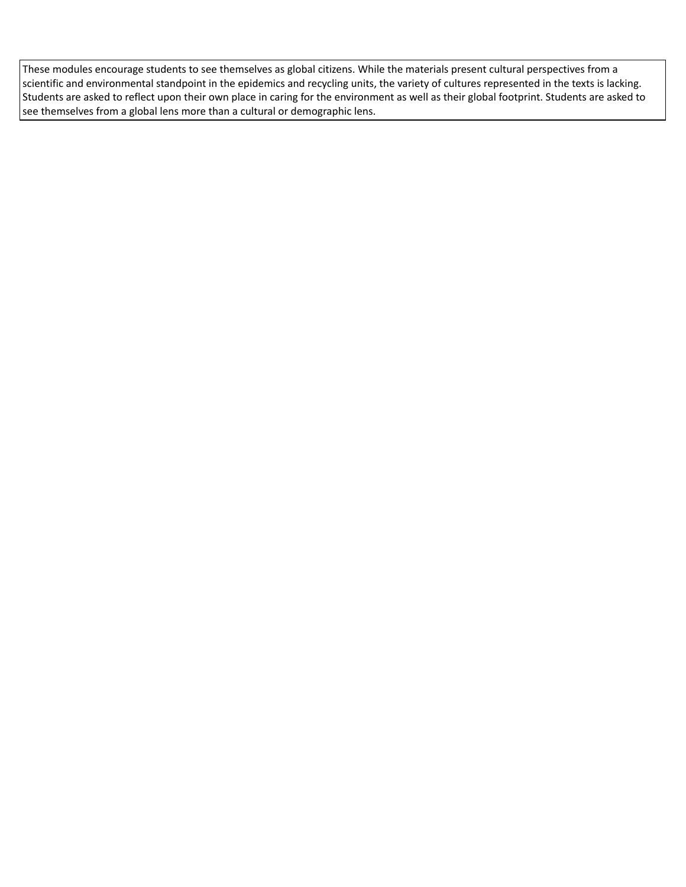These modules encourage students to see themselves as global citizens. While the materials present cultural perspectives from a scientific and environmental standpoint in the epidemics and recycling units, the variety of cultures represented in the texts is lacking. Students are asked to reflect upon their own place in caring for the environment as well as their global footprint. Students are asked to see themselves from a global lens more than a cultural or demographic lens.